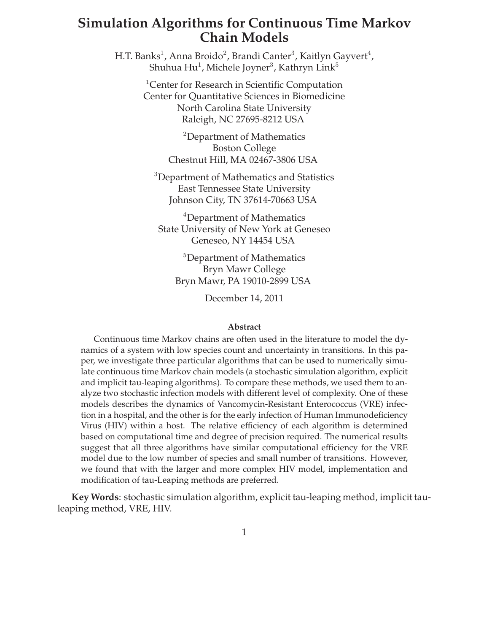# **Simulation Algorithms for Continuous Time Markov Chain Models**

H.T. Banks $^1$ , Anna Broido $^2$ , Brandi Canter $^3$ , Kaitlyn Gayvert $^4$ , Shuhua Hu $^1$ , Michele Joyner $^3$ , Kathryn Link $^5$ 

> <sup>1</sup>Center for Research in Scientific Computation Center for Quantitative Sciences in Biomedicine North Carolina State University Raleigh, NC 27695-8212 USA

> > <sup>2</sup>Department of Mathematics Boston College Chestnut Hill, MA 02467-3806 USA

<sup>3</sup>Department of Mathematics and Statistics East Tennessee State University Johnson City, TN 37614-70663 USA

<sup>4</sup>Department of Mathematics State University of New York at Geneseo Geneseo, NY 14454 USA

<sup>5</sup>Department of Mathematics Bryn Mawr College Bryn Mawr, PA 19010-2899 USA

December 14, 2011

#### **Abstract**

Continuous time Markov chains are often used in the literature to model the dynamics of a system with low species count and uncertainty in transitions. In this paper, we investigate three particular algorithms that can be used to numerically simulate continuous time Markov chain models (a stochastic simulation algorithm, explicit and implicit tau-leaping algorithms). To compare these methods, we used them to analyze two stochastic infection models with different level of complexity. One of these models describes the dynamics of Vancomycin-Resistant Enterococcus (VRE) infection in a hospital, and the other is for the early infection of Human Immunodeficiency Virus (HIV) within a host. The relative efficiency of each algorithm is determined based on computational time and degree of precision required. The numerical results suggest that all three algorithms have similar computational efficiency for the VRE model due to the low number of species and small number of transitions. However, we found that with the larger and more complex HIV model, implementation and modification of tau-Leaping methods are preferred.

**Key Words**: stochastic simulation algorithm, explicit tau-leaping method, implicit tauleaping method, VRE, HIV.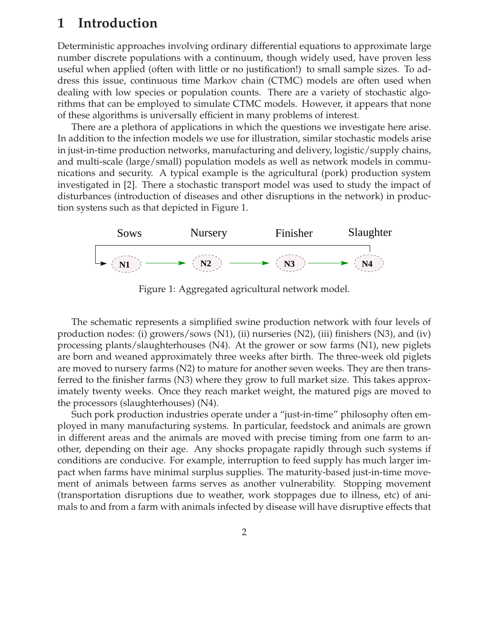# **1 Introduction**

Deterministic approaches involving ordinary differential equations to approximate large number discrete populations with a continuum, though widely used, have proven less useful when applied (often with little or no justification!) to small sample sizes. To address this issue, continuous time Markov chain (CTMC) models are often used when dealing with low species or population counts. There are a variety of stochastic algorithms that can be employed to simulate CTMC models. However, it appears that none of these algorithms is universally efficient in many problems of interest.

There are a plethora of applications in which the questions we investigate here arise. In addition to the infection models we use for illustration, similar stochastic models arise in just-in-time production networks, manufacturing and delivery, logistic/supply chains, and multi-scale (large/small) population models as well as network models in communications and security. A typical example is the agricultural (pork) production system investigated in [2]. There a stochastic transport model was used to study the impact of disturbances (introduction of diseases and other disruptions in the network) in production systens such as that depicted in Figure 1.



Figure 1: Aggregated agricultural network model.

The schematic represents a simplified swine production network with four levels of production nodes: (i) growers/sows  $(N1)$ , (ii) nurseries  $(N2)$ , (iii) finishers  $(N3)$ , and (iv) processing plants/slaughterhouses (N4). At the grower or sow farms (N1), new piglets are born and weaned approximately three weeks after birth. The three-week old piglets are moved to nursery farms (N2) to mature for another seven weeks. They are then transferred to the finisher farms (N3) where they grow to full market size. This takes approximately twenty weeks. Once they reach market weight, the matured pigs are moved to the processors (slaughterhouses) (N4).

Such pork production industries operate under a "just-in-time" philosophy often employed in many manufacturing systems. In particular, feedstock and animals are grown in different areas and the animals are moved with precise timing from one farm to another, depending on their age. Any shocks propagate rapidly through such systems if conditions are conducive. For example, interruption to feed supply has much larger impact when farms have minimal surplus supplies. The maturity-based just-in-time movement of animals between farms serves as another vulnerability. Stopping movement (transportation disruptions due to weather, work stoppages due to illness, etc) of animals to and from a farm with animals infected by disease will have disruptive effects that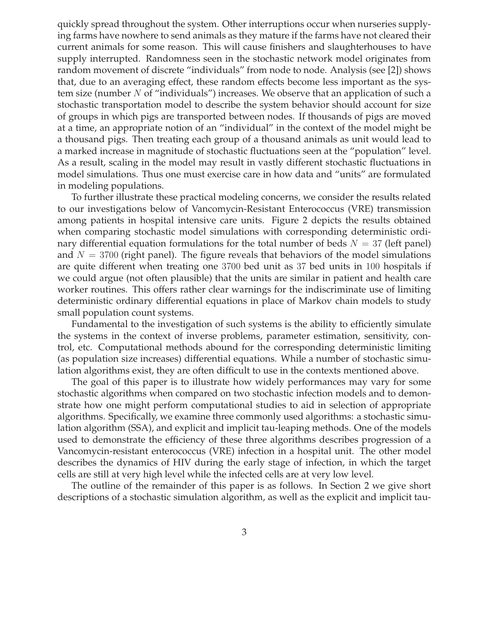quickly spread throughout the system. Other interruptions occur when nurseries supplying farms have nowhere to send animals as they mature if the farms have not cleared their current animals for some reason. This will cause finishers and slaughterhouses to have supply interrupted. Randomness seen in the stochastic network model originates from random movement of discrete "individuals" from node to node. Analysis (see [2]) shows that, due to an averaging effect, these random effects become less important as the system size (number  $N$  of "individuals") increases. We observe that an application of such a stochastic transportation model to describe the system behavior should account for size of groups in which pigs are transported between nodes. If thousands of pigs are moved at a time, an appropriate notion of an "individual" in the context of the model might be a thousand pigs. Then treating each group of a thousand animals as unit would lead to a marked increase in magnitude of stochastic fluctuations seen at the "population" level. As a result, scaling in the model may result in vastly different stochastic fluctuations in model simulations. Thus one must exercise care in how data and "units" are formulated in modeling populations.

To further illustrate these practical modeling concerns, we consider the results related to our investigations below of Vancomycin-Resistant Enterococcus (VRE) transmission among patients in hospital intensive care units. Figure 2 depicts the results obtained when comparing stochastic model simulations with corresponding deterministic ordinary differential equation formulations for the total number of beds  $N = 37$  (left panel) and  $N = 3700$  (right panel). The figure reveals that behaviors of the model simulations are quite different when treating one 3700 bed unit as 37 bed units in 100 hospitals if we could argue (not often plausible) that the units are similar in patient and health care worker routines. This offers rather clear warnings for the indiscriminate use of limiting deterministic ordinary differential equations in place of Markov chain models to study small population count systems.

Fundamental to the investigation of such systems is the ability to efficiently simulate the systems in the context of inverse problems, parameter estimation, sensitivity, control, etc. Computational methods abound for the corresponding deterministic limiting (as population size increases) differential equations. While a number of stochastic simulation algorithms exist, they are often difficult to use in the contexts mentioned above.

The goal of this paper is to illustrate how widely performances may vary for some stochastic algorithms when compared on two stochastic infection models and to demonstrate how one might perform computational studies to aid in selection of appropriate algorithms. Specifically, we examine three commonly used algorithms: a stochastic simulation algorithm (SSA), and explicit and implicit tau-leaping methods. One of the models used to demonstrate the efficiency of these three algorithms describes progression of a Vancomycin-resistant enterococcus (VRE) infection in a hospital unit. The other model describes the dynamics of HIV during the early stage of infection, in which the target cells are still at very high level while the infected cells are at very low level.

The outline of the remainder of this paper is as follows. In Section 2 we give short descriptions of a stochastic simulation algorithm, as well as the explicit and implicit tau-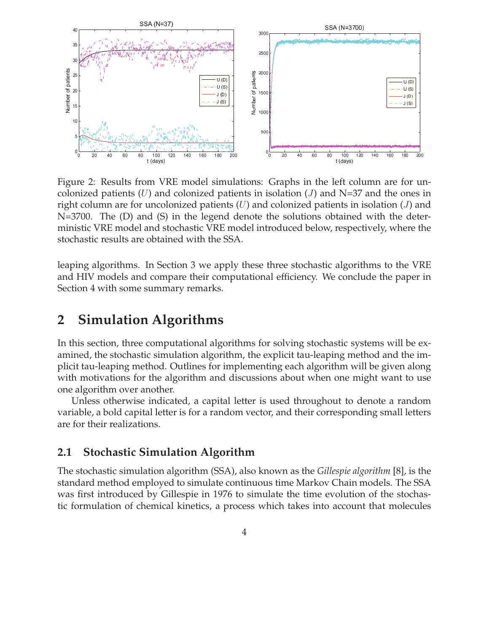

Figure 2: Results from VRE model simulations: Graphs in the left column are for uncolonized patients (U) and colonized patients in isolation (J) and N=37 and the ones in right column are for uncolonized patients  $(U)$  and colonized patients in isolation  $(J)$  and N=3700. The (D) and (S) in the legend denote the solutions obtained with the deterministic VRE model and stochastic VRE model introduced below, respectively, where the stochastic results are obtained with the SSA.

leaping algorithms. In Section 3 we apply these three stochastic algorithms to the VRE and HIV models and compare their computational efficiency. We conclude the paper in Section 4 with some summary remarks.

## **2 Simulation Algorithms**

In this section, three computational algorithms for solving stochastic systems will be examined, the stochastic simulation algorithm, the explicit tau-leaping method and the implicit tau-leaping method. Outlines for implementing each algorithm will be given along with motivations for the algorithm and discussions about when one might want to use one algorithm over another.

Unless otherwise indicated, a capital letter is used throughout to denote a random variable, a bold capital letter is for a random vector, and their corresponding small letters are for their realizations.

## **2.1 Stochastic Simulation Algorithm**

The stochastic simulation algorithm (SSA), also known as the *Gillespie algorithm* [8], is the standard method employed to simulate continuous time Markov Chain models. The SSA was first introduced by Gillespie in 1976 to simulate the time evolution of the stochastic formulation of chemical kinetics, a process which takes into account that molecules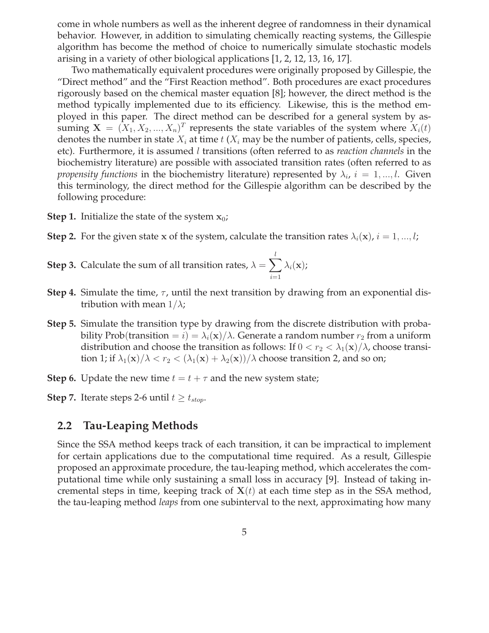come in whole numbers as well as the inherent degree of randomness in their dynamical behavior. However, in addition to simulating chemically reacting systems, the Gillespie algorithm has become the method of choice to numerically simulate stochastic models arising in a variety of other biological applications [1, 2, 12, 13, 16, 17].

Two mathematically equivalent procedures were originally proposed by Gillespie, the "Direct method" and the "First Reaction method". Both procedures are exact procedures rigorously based on the chemical master equation [8]; however, the direct method is the method typically implemented due to its efficiency. Likewise, this is the method employed in this paper. The direct method can be described for a general system by assuming  $X = (X_1, X_2, ..., X_n)^T$  represents the state variables of the system where  $X_i(t)$ denotes the number in state  $X_i$  at time  $t$  ( $X_i$  may be the number of patients, cells, species, etc). Furthermore, it is assumed l transitions (often referred to as *reaction channels* in the biochemistry literature) are possible with associated transition rates (often referred to as *propensity functions* in the biochemistry literature) represented by  $\lambda_i$ ,  $i = 1,...,l$ . Given this terminology, the direct method for the Gillespie algorithm can be described by the following procedure:

- **Step 1.** Initialize the state of the system  $x_0$ ;
- **Step 2.** For the given state x of the system, calculate the transition rates  $\lambda_i(\mathbf{x})$ ,  $i = 1, ..., l$ ;

**Step 3.** Calculate the sum of all transition rates,  $\lambda = \sum_{i=1}^{l}$  $i=1$  $\lambda_i(\mathbf{x})$ ;

- **Step 4.** Simulate the time,  $\tau$ , until the next transition by drawing from an exponential distribution with mean  $1/\lambda$ ;
- **Step 5.** Simulate the transition type by drawing from the discrete distribution with probability Prob(transition =  $i$ ) =  $\lambda_i$ (x)/ $\lambda$ . Generate a random number  $r_2$  from a uniform distribution and choose the transition as follows: If  $0 < r_2 < \lambda_1(\mathbf{x})/\lambda$ , choose transition 1; if  $\lambda_1(\mathbf{x})/\lambda < r_2 < (\lambda_1(\mathbf{x}) + \lambda_2(\mathbf{x}))/\lambda$  choose transition 2, and so on;
- **Step 6.** Update the new time  $t = t + \tau$  and the new system state;

**Step 7.** Iterate steps 2-6 until  $t \geq t_{stop}$ .

## **2.2 Tau-Leaping Methods**

Since the SSA method keeps track of each transition, it can be impractical to implement for certain applications due to the computational time required. As a result, Gillespie proposed an approximate procedure, the tau-leaping method, which accelerates the computational time while only sustaining a small loss in accuracy [9]. Instead of taking incremental steps in time, keeping track of  $X(t)$  at each time step as in the SSA method, the tau-leaping method *leaps* from one subinterval to the next, approximating how many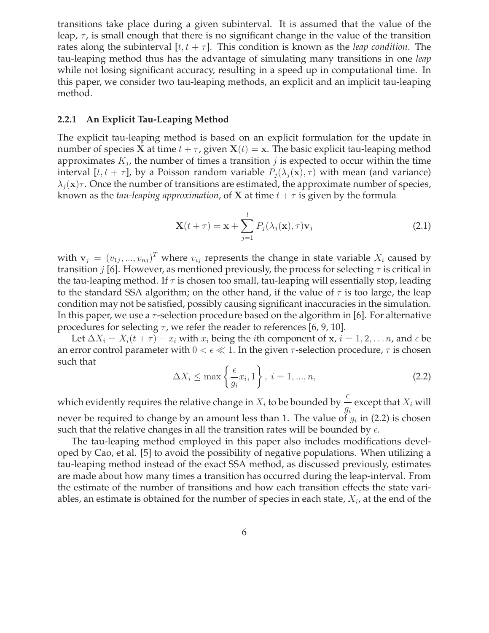transitions take place during a given subinterval. It is assumed that the value of the leap,  $\tau$ , is small enough that there is no significant change in the value of the transition rates along the subinterval  $[t, t + \tau]$ . This condition is known as the *leap condition*. The tau-leaping method thus has the advantage of simulating many transitions in one *leap* while not losing significant accuracy, resulting in a speed up in computational time. In this paper, we consider two tau-leaping methods, an explicit and an implicit tau-leaping method.

### **2.2.1 An Explicit Tau-Leaping Method**

The explicit tau-leaping method is based on an explicit formulation for the update in number of species **X** at time  $t + \tau$ , given **X**( $t$ ) = **x**. The basic explicit tau-leaping method approximates  $K_j$ , the number of times a transition  $j$  is expected to occur within the time interval [ $t, t + \tau$ ], by a Poisson random variable  $P_j(\lambda_j(\mathbf{x}), \tau)$  with mean (and variance)  $\lambda_i(\mathbf{x})\tau$ . Once the number of transitions are estimated, the approximate number of species, known as the *tau-leaping approximation*, of **X** at time  $t + \tau$  is given by the formula

$$
\mathbf{X}(t+\tau) = \mathbf{x} + \sum_{j=1}^{l} P_j(\lambda_j(\mathbf{x}), \tau) \mathbf{v}_j
$$
\n(2.1)

with  $\mathbf{v}_j = (v_{1j},...,v_{nj})^T$  where  $v_{ij}$  represents the change in state variable  $X_i$  caused by transition *j* [6]. However, as mentioned previously, the process for selecting  $\tau$  is critical in the tau-leaping method. If  $\tau$  is chosen too small, tau-leaping will essentially stop, leading to the standard SSA algorithm; on the other hand, if the value of  $\tau$  is too large, the leap condition may not be satisfied, possibly causing significant inaccuracies in the simulation. In this paper, we use a  $\tau$ -selection procedure based on the algorithm in [6]. For alternative procedures for selecting  $\tau$ , we refer the reader to references [6, 9, 10].

Let  $\Delta X_i = X_i(t + \tau) - x_i$  with  $x_i$  being the *i*th component of x,  $i = 1, 2, \ldots n$ , and  $\epsilon$  be an error control parameter with  $0 < \epsilon \ll 1$ . In the given  $\tau$ -selection procedure,  $\tau$  is chosen such that

$$
\Delta X_i \le \max\left\{\frac{\epsilon}{g_i}x_i, 1\right\}, \ i = 1, ..., n,
$$
\n(2.2)

which evidently requires the relative change in  $X_i$  to be bounded by  $\frac{\epsilon}{\tau}$ gi except that  $X_i$  will never be required to change by an amount less than 1. The value of  $g_i$  in (2.2) is chosen such that the relative changes in all the transition rates will be bounded by  $\epsilon$ .

The tau-leaping method employed in this paper also includes modifications developed by Cao, et al. [5] to avoid the possibility of negative populations. When utilizing a tau-leaping method instead of the exact SSA method, as discussed previously, estimates are made about how many times a transition has occurred during the leap-interval. From the estimate of the number of transitions and how each transition effects the state variables, an estimate is obtained for the number of species in each state,  $X_i$ , at the end of the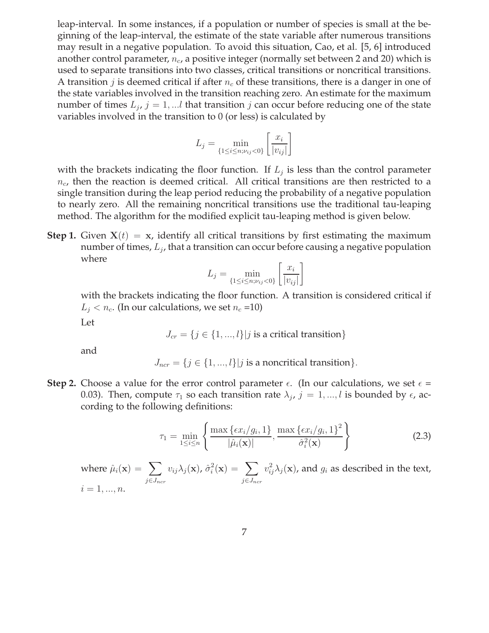leap-interval. In some instances, if a population or number of species is small at the beginning of the leap-interval, the estimate of the state variable after numerous transitions may result in a negative population. To avoid this situation, Cao, et al. [5, 6] introduced another control parameter,  $n_c$ , a positive integer (normally set between 2 and 20) which is used to separate transitions into two classes, critical transitions or noncritical transitions. A transition j is deemed critical if after  $n_c$  of these transitions, there is a danger in one of the state variables involved in the transition reaching zero. An estimate for the maximum number of times  $L_j$ ,  $j = 1, ...l$  that transition  $j$  can occur before reducing one of the state variables involved in the transition to 0 (or less) is calculated by

$$
L_j = \min_{\{1 \le i \le n; \nu_{ij} < 0\}} \left[ \frac{x_i}{|v_{ij}|} \right]
$$

with the brackets indicating the floor function. If  $L_j$  is less than the control parameter  $n_c$ , then the reaction is deemed critical. All critical transitions are then restricted to a single transition during the leap period reducing the probability of a negative population to nearly zero. All the remaining noncritical transitions use the traditional tau-leaping method. The algorithm for the modified explicit tau-leaping method is given below.

**Step 1.** Given  $X(t) = x$ , identify all critical transitions by first estimating the maximum number of times*,*  $L_j$ *,* that a transition can occur before causing a negative population where

$$
L_j = \min_{\{1 \le i \le n; \nu_{ij} < 0\}} \left[ \frac{x_i}{|v_{ij}|} \right]
$$

with the brackets indicating the floor function. A transition is considered critical if  $L_i < n_c$ . (In our calculations, we set  $n_c$  =10)

Let

$$
J_{cr} = \{j \in \{1, ..., l\} | j \text{ is a critical transition}\}
$$

and

 $J_{ncr} = \{j \in \{1, ..., l\} | j \text{ is a noncritical transition}\}.$ 

**Step 2.** Choose a value for the error control parameter  $\epsilon$ . (In our calculations, we set  $\epsilon$  = 0.03). Then, compute  $\tau_1$  so each transition rate  $\lambda_j$ ,  $j=1,...,l$  is bounded by  $\epsilon$ , according to the following definitions:

$$
\tau_1 = \min_{1 \le i \le n} \left\{ \frac{\max\left\{ \epsilon x_i / g_i, 1 \right\}}{|\hat{\mu}_i(\mathbf{x})|}, \frac{\max\left\{ \epsilon x_i / g_i, 1 \right\}^2}{\hat{\sigma}_i^2(\mathbf{x})} \right\} \tag{2.3}
$$

where  $\hat{\mu}_i(\mathbf{x}) = \sum$  $j\in J_{ncr}$  $v_{ij}\lambda_j(\mathbf{x})$ ,  $\hat{\sigma}_i^2(\mathbf{x}) = \sum$  $j\in J_{ncr}$  $v_{ij}^2 \lambda_j(\mathbf{x})$ , and  $g_i$  as described in the text,  $i = 1, ..., n$ .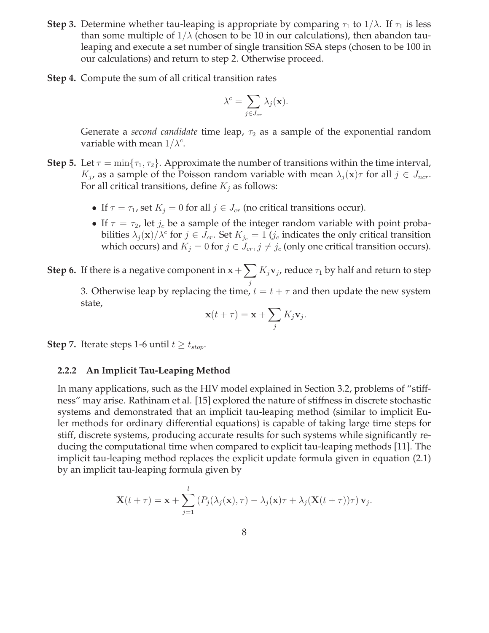- **Step 3.** Determine whether tau-leaping is appropriate by comparing  $\tau_1$  to  $1/\lambda$ . If  $\tau_1$  is less than some multiple of  $1/\lambda$  (chosen to be 10 in our calculations), then abandon tauleaping and execute a set number of single transition SSA steps (chosen to be 100 in our calculations) and return to step 2. Otherwise proceed.
- **Step 4.** Compute the sum of all critical transition rates

$$
\lambda^c = \sum_{j \in J_{cr}} \lambda_j(\mathbf{x}).
$$

Generate a *second candidate* time leap,  $\tau_2$  as a sample of the exponential random variable with mean  $1/\lambda^c$ .

- **Step 5.** Let  $\tau = \min\{\tau_1, \tau_2\}$ . Approximate the number of transitions within the time interval,  $K_j$ , as a sample of the Poisson random variable with mean  $\lambda_j(\mathbf{x})\tau$  for all  $j \in J_{ncr}$ . For all critical transitions, define  $K_j$  as follows:
	- If  $\tau = \tau_1$ , set  $K_i = 0$  for all  $j \in J_{cr}$  (no critical transitions occur).
	- If  $\tau = \tau_2$ , let  $j_c$  be a sample of the integer random variable with point probabilities  $\lambda_j({\bf x})/\lambda^c$  for  $j\in\tilde J_{cr}.$  Set  $K_{j_c}=1$  ( $j_c$  indicates the only critical transition which occurs) and  $K_j = 0$  for  $j \in J_{cr}, j \neq j_c$  (only one critical transition occurs).

**Step 6.** If there is a negative component in  $\mathbf{x} + \sum K_j \mathbf{v}_j$ , reduce  $\tau_1$  by half and return to step j 3. Otherwise leap by replacing the time,  $t = t + \tau$  and then update the new system state,

$$
\mathbf{x}(t+\tau) = \mathbf{x} + \sum_{j} K_j \mathbf{v}_j.
$$

**Step 7.** Iterate steps 1-6 until  $t \geq t_{stop}$ .

### **2.2.2 An Implicit Tau-Leaping Method**

In many applications, such as the HIV model explained in Section 3.2, problems of "stiffness" may arise. Rathinam et al. [15] explored the nature of stiffness in discrete stochastic systems and demonstrated that an implicit tau-leaping method (similar to implicit Euler methods for ordinary differential equations) is capable of taking large time steps for stiff, discrete systems, producing accurate results for such systems while significantly reducing the computational time when compared to explicit tau-leaping methods [11]. The implicit tau-leaping method replaces the explicit update formula given in equation (2.1) by an implicit tau-leaping formula given by

$$
\mathbf{X}(t+\tau) = \mathbf{x} + \sum_{j=1}^{l} \left( P_j(\lambda_j(\mathbf{x}), \tau) - \lambda_j(\mathbf{x})\tau + \lambda_j(\mathbf{X}(t+\tau))\tau \right) \mathbf{v}_j.
$$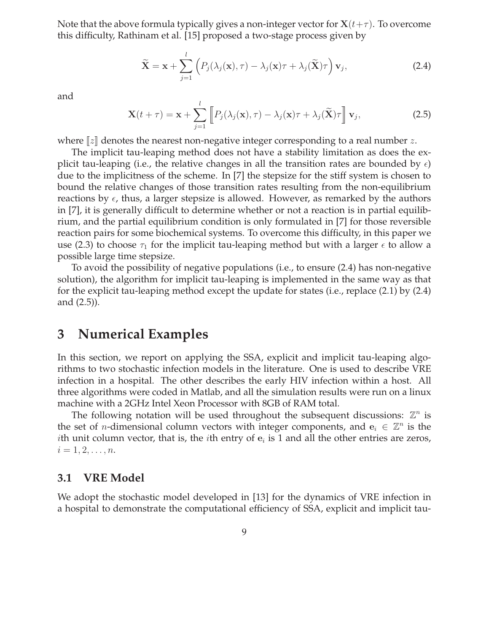Note that the above formula typically gives a non-integer vector for  $X(t+\tau)$ . To overcome this difficulty, Rathinam et al. [15] proposed a two-stage process given by

$$
\widetilde{\mathbf{X}} = \mathbf{x} + \sum_{j=1}^{l} \left( P_j(\lambda_j(\mathbf{x}), \tau) - \lambda_j(\mathbf{x})\tau + \lambda_j(\widetilde{\mathbf{X}})\tau \right) \mathbf{v}_j,
$$
\n(2.4)

and

$$
\mathbf{X}(t+\tau) = \mathbf{x} + \sum_{j=1}^{l} \left[ P_j(\lambda_j(\mathbf{x}), \tau) - \lambda_j(\mathbf{x})\tau + \lambda_j(\widetilde{\mathbf{X}})\tau \right] \mathbf{v}_j,
$$
(2.5)

where  $||z||$  denotes the nearest non-negative integer corresponding to a real number z.

The implicit tau-leaping method does not have a stability limitation as does the explicit tau-leaping (i.e., the relative changes in all the transition rates are bounded by  $\epsilon$ ) due to the implicitness of the scheme. In [7] the stepsize for the stiff system is chosen to bound the relative changes of those transition rates resulting from the non-equilibrium reactions by  $\epsilon$ , thus, a larger stepsize is allowed. However, as remarked by the authors in [7], it is generally difficult to determine whether or not a reaction is in partial equilibrium, and the partial equilibrium condition is only formulated in [7] for those reversible reaction pairs for some biochemical systems. To overcome this difficulty, in this paper we use (2.3) to choose  $\tau_1$  for the implicit tau-leaping method but with a larger  $\epsilon$  to allow a possible large time stepsize.

To avoid the possibility of negative populations (i.e., to ensure (2.4) has non-negative solution), the algorithm for implicit tau-leaping is implemented in the same way as that for the explicit tau-leaping method except the update for states (i.e., replace (2.1) by (2.4) and (2.5)).

## **3 Numerical Examples**

In this section, we report on applying the SSA, explicit and implicit tau-leaping algorithms to two stochastic infection models in the literature. One is used to describe VRE infection in a hospital. The other describes the early HIV infection within a host. All three algorithms were coded in Matlab, and all the simulation results were run on a linux machine with a 2GHz Intel Xeon Processor with 8GB of RAM total.

The following notation will be used throughout the subsequent discussions:  $\mathbb{Z}^n$  is the set of *n*-dimensional column vectors with integer components, and  $e_i \in \mathbb{Z}^n$  is the *i*th unit column vector, that is, the *i*th entry of  $e_i$  is 1 and all the other entries are zeros,  $i = 1, 2, \ldots, n$ .

### **3.1 VRE Model**

We adopt the stochastic model developed in [13] for the dynamics of VRE infection in a hospital to demonstrate the computational efficiency of SSA, explicit and implicit tau-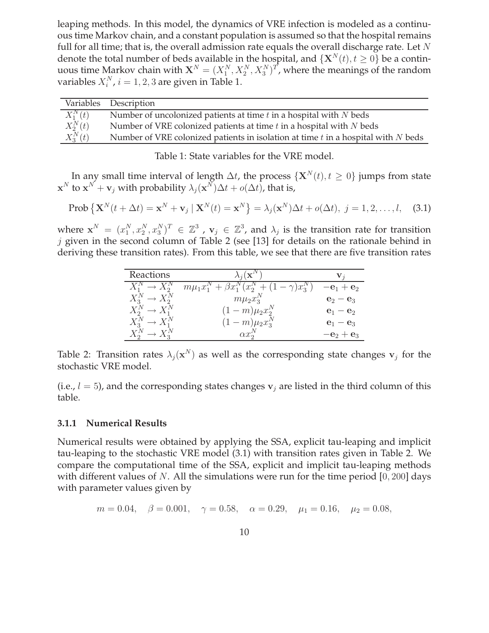leaping methods. In this model, the dynamics of VRE infection is modeled as a continuous time Markov chain, and a constant population is assumed so that the hospital remains full for all time; that is, the overall admission rate equals the overall discharge rate. Let  $N$ denote the total number of beds available in the hospital, and  $\{X^N(t), t \ge 0\}$  be a continuous time Markov chain with  $X^N = (X_1^N, X_2^N, X_3^N)^T$ , where the meanings of the random variables  $X_i^N$ ,  $i = 1, 2, 3$  are given in Table 1.

|            | Variables Description                                                                 |
|------------|---------------------------------------------------------------------------------------|
| $X_1^N(t)$ | Number of uncolonized patients at time $t$ in a hospital with $N$ beds                |
| $X_2^N(t)$ | Number of VRE colonized patients at time $t$ in a hospital with $N$ beds              |
| $X_3^N(t)$ | Number of VRE colonized patients in isolation at time $t$ in a hospital with $N$ beds |

Table 1: State variables for the VRE model.

In any small time interval of length  $\Delta t$ , the process  $\{ \mathbf{X}^{N}(t), t \geq 0 \}$  jumps from state  $\mathbf{x}^N$  to  $\mathbf{x}^N + \mathbf{v}_j$  with probability  $\lambda_j(\mathbf{x}^N) \Delta t + o(\Delta t)$ , that is,

$$
\text{Prob}\left\{\mathbf{X}^{N}(t+\Delta t)=\mathbf{x}^{N}+\mathbf{v}_{j}\mid\mathbf{X}^{N}(t)=\mathbf{x}^{N}\right\}=\lambda_{j}(\mathbf{x}^{N})\Delta t+o(\Delta t),\ j=1,2,\ldots,l,\quad(3.1)
$$

where  $\mathbf{x}^N = (x_1^N, x_2^N, x_3^N)^T \in \mathbb{Z}^3$  ,  $\mathbf{v}_j \in \mathbb{Z}^3$ , and  $\lambda_j$  is the transition rate for transition  $j$  given in the second column of Table 2 (see [13] for details on the rationale behind in deriving these transition rates). From this table, we see that there are five transition rates

| Reactions | $\lambda_i(\mathbf{X})$                                                                   |             |
|-----------|-------------------------------------------------------------------------------------------|-------------|
|           | $+(1-\gamma)x_3^N$<br>$m\mu_1 x_1^{\prime\prime} + \beta x_1^{\prime\prime}$<br>$(x_2^N)$ | $-e_1+e_2$  |
|           | $m\mu_2x_3^{\prime\prime}$                                                                | $e_2 - e_3$ |
|           | $(1 - m)\mu_2 x_2^N$                                                                      | $e_1 - e_2$ |
|           | $(1 - m)\mu_2 x_3^N$                                                                      | $e_1 - e_3$ |
|           | $\alpha x$                                                                                | $-e_2+e_3$  |

Table 2: Transition rates  $\lambda_j(\mathbf{x}^N)$  as well as the corresponding state changes  $\mathbf{v}_j$  for the stochastic VRE model.

(i.e.,  $l = 5$ ), and the corresponding states changes  $v_i$  are listed in the third column of this table.

### **3.1.1 Numerical Results**

Numerical results were obtained by applying the SSA, explicit tau-leaping and implicit tau-leaping to the stochastic VRE model (3.1) with transition rates given in Table 2. We compare the computational time of the SSA, explicit and implicit tau-leaping methods with different values of N. All the simulations were run for the time period  $[0, 200]$  days with parameter values given by

$$
m = 0.04
$$
,  $\beta = 0.001$ ,  $\gamma = 0.58$ ,  $\alpha = 0.29$ ,  $\mu_1 = 0.16$ ,  $\mu_2 = 0.08$ ,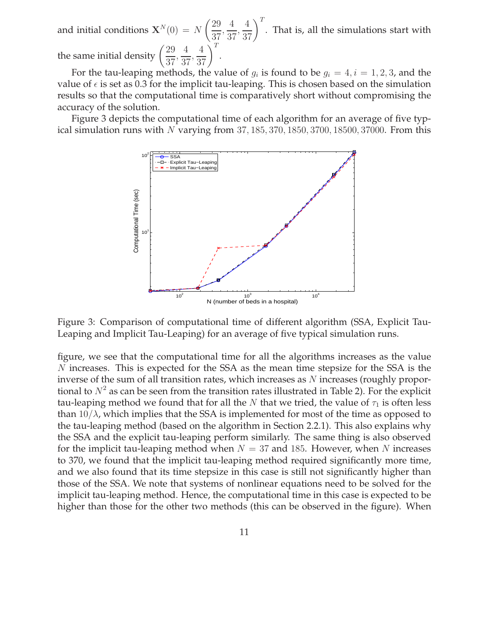and initial conditions  $\mathbf{X}^{N}(0) = N$  $(29)$ 37 , 4 37 ,  $\left(\frac{4}{37}\right)^{T}$ . That is, all the simulations start with the same initial density  $\left(\frac{29}{27}\right)$ 37 , 4 37 ,  $\left(\frac{4}{37}\right)^T$ .

For the tau-leaping methods, the value of  $g_i$  is found to be  $g_i = 4$ ,  $i = 1, 2, 3$ , and the value of  $\epsilon$  is set as 0.3 for the implicit tau-leaping. This is chosen based on the simulation results so that the computational time is comparatively short without compromising the accuracy of the solution.

Figure 3 depicts the computational time of each algorithm for an average of five typical simulation runs with N varying from  $37, 185, 370, 1850, 3700, 18500, 37000$ . From this



Figure 3: Comparison of computational time of different algorithm (SSA, Explicit Tau-Leaping and Implicit Tau-Leaping) for an average of five typical simulation runs.

figure, we see that the computational time for all the algorithms increases as the value N increases. This is expected for the SSA as the mean time stepsize for the SSA is the inverse of the sum of all transition rates, which increases as N increases (roughly proportional to  $N^2$  as can be seen from the transition rates illustrated in Table 2). For the explicit tau-leaping method we found that for all the N that we tried, the value of  $\tau_1$  is often less than  $10/\lambda$ , which implies that the SSA is implemented for most of the time as opposed to the tau-leaping method (based on the algorithm in Section 2.2.1). This also explains why the SSA and the explicit tau-leaping perform similarly. The same thing is also observed for the implicit tau-leaping method when  $N = 37$  and 185. However, when N increases to 370, we found that the implicit tau-leaping method required significantly more time, and we also found that its time stepsize in this case is still not significantly higher than those of the SSA. We note that systems of nonlinear equations need to be solved for the implicit tau-leaping method. Hence, the computational time in this case is expected to be higher than those for the other two methods (this can be observed in the figure). When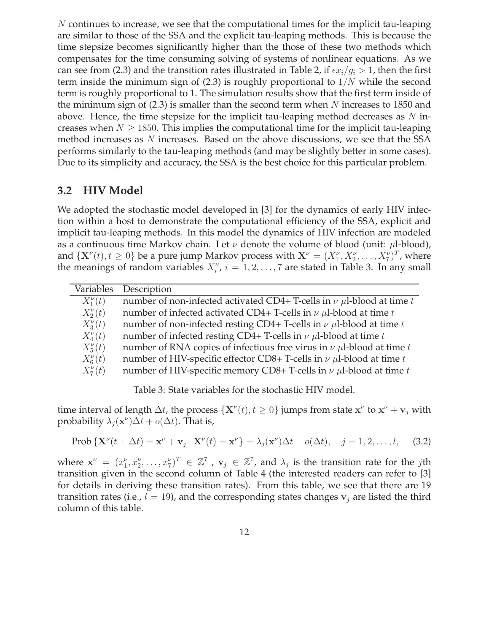N continues to increase, we see that the computational times for the implicit tau-leaping are similar to those of the SSA and the explicit tau-leaping methods. This is because the time stepsize becomes significantly higher than the those of these two methods which compensates for the time consuming solving of systems of nonlinear equations. As we can see from (2.3) and the transition rates illustrated in Table 2, if  $\epsilon x_i/g_i > 1$ , then the first term inside the minimum sign of  $(2.3)$  is roughly proportional to  $1/N$  while the second term is roughly proportional to 1. The simulation results show that the first term inside of the minimum sign of  $(2.3)$  is smaller than the second term when N increases to 1850 and above. Hence, the time stepsize for the implicit tau-leaping method decreases as  $N$  increases when  $N \geq 1850$ . This implies the computational time for the implicit tau-leaping method increases as N increases. Based on the above discussions, we see that the SSA performs similarly to the tau-leaping methods (and may be slightly better in some cases). Due to its simplicity and accuracy, the SSA is the best choice for this particular problem.

## **3.2 HIV Model**

We adopted the stochastic model developed in [3] for the dynamics of early HIV infection within a host to demonstrate the computational efficiency of the SSA, explicit and implicit tau-leaping methods. In this model the dynamics of HIV infection are modeled as a continuous time Markov chain. Let  $\nu$  denote the volume of blood (unit:  $\mu$ l-blood), and  $\{X^{\nu}(t), t \geq 0\}$  be a pure jump Markov process with  $X^{\nu} = (X_1^{\nu}, X_2^{\nu}, \dots, X_7^{\nu})^T$ , where the meanings of random variables  $X_i^{\nu}$ ,  $i = 1, 2, ..., 7$  are stated in Table 3. In any small

| Variables      | Description                                                                    |
|----------------|--------------------------------------------------------------------------------|
| $X_1^{\nu}(t)$ | number of non-infected activated CD4+ T-cells in $\nu$ µl-blood at time t      |
| $X_2^{\nu}(t)$ | number of infected activated CD4+ T-cells in $\nu$ $\mu$ l-blood at time t     |
| $X_3^{\nu}(t)$ | number of non-infected resting CD4+ T-cells in $\nu$ $\mu$ l-blood at time t   |
| $X_4^{\nu}(t)$ | number of infected resting CD4+ T-cells in $\nu$ $\mu$ l-blood at time t       |
| $X_5^{\nu}(t)$ | number of RNA copies of infectious free virus in $\nu$ $\mu$ l-blood at time t |
| $X_6^{\nu}(t)$ | number of HIV-specific effector CD8+ T-cells in $\nu$ $\mu$ l-blood at time t  |
| $X_7^{\nu}(t)$ | number of HIV-specific memory CD8+ T-cells in $\nu$ $\mu$ l-blood at time t    |

Table 3: State variables for the stochastic HIV model.

time interval of length  $\Delta t$ , the process  $\{ \mathbf{X}^{\nu}(t), t \ge 0 \}$  jumps from state  $\mathbf{x}^{\nu}$  to  $\mathbf{x}^{\nu} + \mathbf{v}_j$  with probability  $\lambda_j(\mathbf{x}^{\nu})\Delta t + o(\Delta t)$ . That is,

$$
\text{Prob}\left\{\mathbf{X}^{\nu}(t+\Delta t) = \mathbf{x}^{\nu} + \mathbf{v}_j \mid \mathbf{X}^{\nu}(t) = \mathbf{x}^{\nu}\right\} = \lambda_j(\mathbf{x}^{\nu})\Delta t + o(\Delta t), \quad j = 1, 2, \dots, l,\tag{3.2}
$$

where  $\mathbf{x}^{\nu} = (x_1^{\nu}, x_2^{\nu}, \dots, x_7^{\nu})^T \in \mathbb{Z}^7$ ,  $\mathbf{v}_j \in \mathbb{Z}^7$ , and  $\lambda_j$  is the transition rate for the *j*th transition given in the second column of Table 4 (the interested readers can refer to [3] for details in deriving these transition rates). From this table, we see that there are 19 transition rates (i.e.,  $l = 19$ ), and the corresponding states changes  $v_i$  are listed the third column of this table.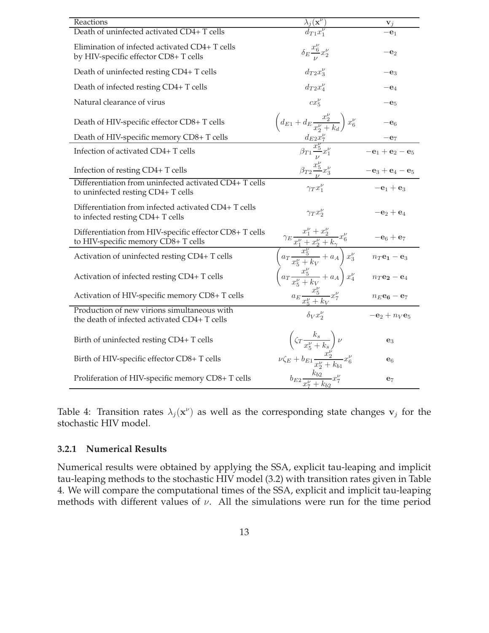| Reactions                                                                                      | $\frac{\lambda_j(\mathbf{x}^{\nu})}{d_{T1}x_1^{\nu}}$                                                                                                                                                                         | $\mathbf{v}_j$                                      |
|------------------------------------------------------------------------------------------------|-------------------------------------------------------------------------------------------------------------------------------------------------------------------------------------------------------------------------------|-----------------------------------------------------|
| Death of uninfected activated CD4+ T cells                                                     |                                                                                                                                                                                                                               | $-e_1$                                              |
| Elimination of infected activated CD4+ T cells<br>by HIV-specific effector CD8+ T cells        | $\delta_E \frac{x_6^{\nu}}{u} x_2^{\nu}$                                                                                                                                                                                      | $-\mathbf{e}_2$                                     |
| Death of uninfected resting CD4+ T cells                                                       | $d_{T2}x_3^{\nu}$                                                                                                                                                                                                             | $-\mathbf{e}_3$                                     |
| Death of infected resting CD4+T cells                                                          | $d_{T2}x_4^{\nu}$                                                                                                                                                                                                             | $-\mathbf{e}_4$                                     |
| Natural clearance of virus                                                                     | $cx^{\nu}_{5}$                                                                                                                                                                                                                | $-e5$                                               |
| Death of HIV-specific effector CD8+ T cells                                                    | $\left(d_{E1}+d_E\frac{x_2^{\nu}}{x_2^{\nu}+k_d}\right)x_6^{\nu}$                                                                                                                                                             | $-\mathbf{e}_6$                                     |
| Death of HIV-specific memory CD8+ T cells                                                      |                                                                                                                                                                                                                               |                                                     |
| Infection of activated CD4+T cells                                                             | $\frac{d_{E2}x_7^{\nu}}{\beta_{T1} \frac{x_5^{\nu}}{n} x_1^{\nu}}$                                                                                                                                                            | $-\mathbf{e}_1 + \mathbf{e}_2 - \mathbf{e}_5$       |
| Infection of resting CD4+T cells                                                               | $\beta_{T2} \frac{x_5^{\nu}}{\nu} x_3^{\nu}$                                                                                                                                                                                  | $-e_3 + e_4 - e_5$                                  |
| Differentiation from uninfected activated CD4+ T cells<br>to uninfected resting CD4+T cells    | $\gamma_T x_1^{\nu}$                                                                                                                                                                                                          | $-e_1 + e_3$                                        |
| Differentiation from infected activated CD4+ T cells<br>to infected resting CD4+T cells        | $\gamma_T x_2^{\nu}$                                                                                                                                                                                                          | $-e_2+e_4$                                          |
| Differentiation from HIV-specific effector CD8+ T cells<br>to HIV-specific memory CD8+ T cells | $\frac{x_1^{\nu} + x_2^{\nu}}{x_1^{\nu} + x_2^{\nu} + k_{\gamma}} x_6^{\nu}$ -e <sub>6</sub> + e <sub>7</sub><br>$\left( a_T \frac{x_5^{\nu}}{x_5^{\nu} + k_V} + a_A \right) x_3^{\nu}$ $n_T$ e <sub>1</sub> - e <sub>3</sub> |                                                     |
| Activation of uninfected resting CD4+T cells                                                   |                                                                                                                                                                                                                               |                                                     |
| Activation of infected resting CD4+ T cells                                                    | $\left(a_T \frac{x_5^{\nu}}{x_7^{\nu}+k_V}+a_A\right)x_4^{\nu}$                                                                                                                                                               | $n_T$ <b>e</b> <sub>2</sub> – <b>e</b> <sub>4</sub> |
| Activation of HIV-specific memory CD8+ T cells                                                 | $a_E \frac{x_5^{\nu}}{x_7^{\nu}+k_V} x_7^{\nu}$                                                                                                                                                                               | $n_E$ <b>e</b> <sub>6</sub> – <b>e</b> <sub>7</sub> |
| Production of new virions simultaneous with<br>the death of infected activated CD4+ T cells    | $\delta_V x_2^{\nu}$                                                                                                                                                                                                          | $-e_2 + n_V e_5$                                    |
| Birth of uninfected resting CD4+T cells                                                        | $\left(\zeta_T\frac{k_s}{x_5^\nu+k_s}\right)\nu$                                                                                                                                                                              | $e_3$                                               |
| Birth of HIV-specific effector CD8+ T cells                                                    | $\nu \zeta_E + b_{E1} \frac{x_2^{\nu}}{x_2^{\nu} + k_{h1}} x_6^{\nu}$                                                                                                                                                         | e <sub>6</sub>                                      |
| Proliferation of HIV-specific memory CD8+ T cells                                              | $b_{E2}\frac{k_{b2}}{x_{\tau}^{\nu}+k_{b2}}x_{7}^{\nu}$                                                                                                                                                                       | $\mathbf{e}_7$                                      |

Table 4: Transition rates  $\lambda_j(\mathbf{x}^{\nu})$  as well as the corresponding state changes  $\mathbf{v}_j$  for the stochastic HIV model.

### **3.2.1 Numerical Results**

Numerical results were obtained by applying the SSA, explicit tau-leaping and implicit tau-leaping methods to the stochastic HIV model (3.2) with transition rates given in Table 4. We will compare the computational times of the SSA, explicit and implicit tau-leaping methods with different values of  $\nu$ . All the simulations were run for the time period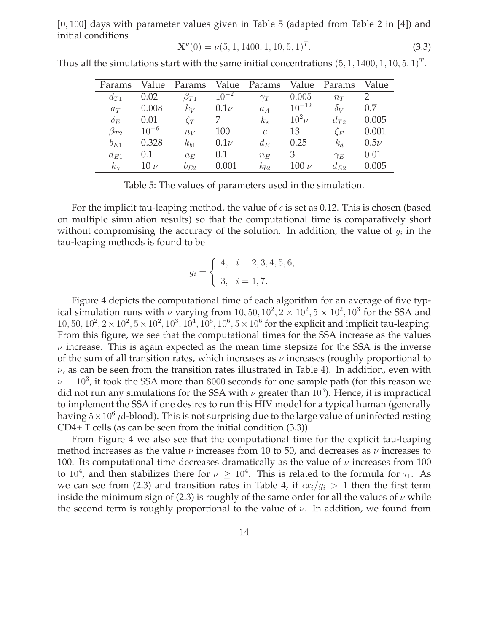[0, 100] days with parameter values given in Table 5 (adapted from Table 2 in [4]) and initial conditions

$$
\mathbf{X}^{\nu}(0) = \nu(5, 1, 1400, 1, 10, 5, 1)^{T}.
$$
\n(3.3)

Thus all the simulations start with the same initial concentrations  $(5, 1, 1400, 1, 10, 5, 1)^T$ .

| Params       | Value     | Params       | Value     | Params        | Value      | Params     | Value    |
|--------------|-----------|--------------|-----------|---------------|------------|------------|----------|
| $d_{T1}$     | 0.02      | $\beta_{T1}$ | $10^{-2}$ | $\gamma_T$    | 0.005      | $n_T$      |          |
| $a_T$        | 0.008     | $k_V$        | $0.1\nu$  | $a_A$         | $10^{-12}$ | $\delta_V$ | 0.7      |
| $\delta_E$   | 0.01      | $\zeta_T$    |           | $k_{s}$       | $10^2\nu$  | $d_{T2}$   | 0.005    |
| $\beta_{T2}$ | $10^{-6}$ | $n_V$        | 100       | $\mathcal{C}$ | 13         | $\zeta_E$  | 0.001    |
| $b_{E1}$     | 0.328     | $k_{b1}$     | $0.1\nu$  | $d_E$         | 0.25       | $k_d\,$    | $0.5\nu$ |
| $d_{E1}$     | 0.1       | $a_E$        | 0.1       | $n_E$         | 3          | $\gamma_E$ | 0.01     |
| $k_{\gamma}$ | $10 \nu$  | $b_{E2}$     | 0.001     | $k_{h2}$      | $100 \nu$  | $d_{E2}$   | 0.005    |

Table 5: The values of parameters used in the simulation.

For the implicit tau-leaping method, the value of  $\epsilon$  is set as 0.12. This is chosen (based on multiple simulation results) so that the computational time is comparatively short without compromising the accuracy of the solution. In addition, the value of  $g_i$  in the tau-leaping methods is found to be

$$
g_i = \begin{cases} 4, & i = 2, 3, 4, 5, 6, \\ 3, & i = 1, 7. \end{cases}
$$

Figure 4 depicts the computational time of each algorithm for an average of five typical simulation runs with  $\nu$  varying from  $10, 50, 10^2, 2 \times 10^2, 5 \times 10^2, 10^3$  for the SSA and  $10, 50, 10^2, 2 \times 10^2, 5 \times 10^2, 10^3, 10^4, 10^5, 10^6, 5 \times 10^6$  for the explicit and implicit tau-leaping. From this figure, we see that the computational times for the SSA increase as the values  $\nu$  increase. This is again expected as the mean time stepsize for the SSA is the inverse of the sum of all transition rates, which increases as  $\nu$  increases (roughly proportional to  $\nu$ , as can be seen from the transition rates illustrated in Table 4). In addition, even with  $\nu = 10^3$ , it took the SSA more than 8000 seconds for one sample path (for this reason we did not run any simulations for the SSA with  $\nu$  greater than  $10^3$ ). Hence, it is impractical to implement the SSA if one desires to run this HIV model for a typical human (generally having  $5\times10^6$  µl-blood). This is not surprising due to the large value of uninfected resting CD4+ T cells (as can be seen from the initial condition (3.3)).

From Figure 4 we also see that the computational time for the explicit tau-leaping method increases as the value  $\nu$  increases from 10 to 50, and decreases as  $\nu$  increases to 100. Its computational time decreases dramatically as the value of  $\nu$  increases from 100 to  $10^4$ , and then stabilizes there for  $\nu \geq 10^4$ . This is related to the formula for  $\tau_1$ . As we can see from (2.3) and transition rates in Table 4, if  $\epsilon x_i/g_i > 1$  then the first term inside the minimum sign of (2.3) is roughly of the same order for all the values of  $\nu$  while the second term is roughly proportional to the value of  $\nu$ . In addition, we found from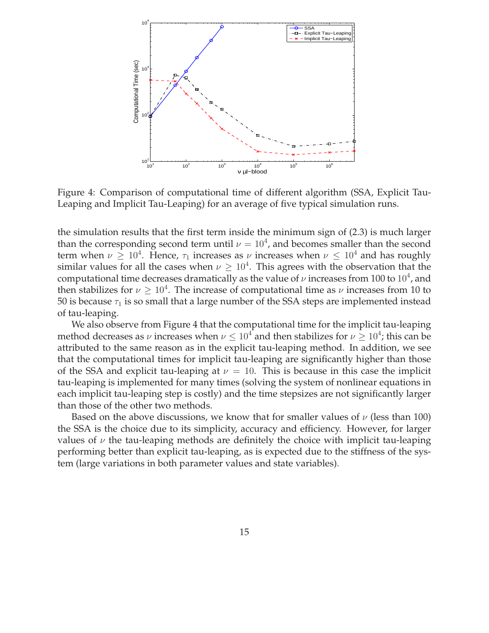

Figure 4: Comparison of computational time of different algorithm (SSA, Explicit Tau-Leaping and Implicit Tau-Leaping) for an average of five typical simulation runs.

the simulation results that the first term inside the minimum sign of (2.3) is much larger than the corresponding second term until  $\nu = 10^4$ , and becomes smaller than the second term when  $\nu \geq 10^4$ . Hence,  $\tau_1$  increases as  $\nu$  increases when  $\nu \leq 10^4$  and has roughly similar values for all the cases when  $\nu \geq 10^4$ . This agrees with the observation that the computational time decreases dramatically as the value of  $\nu$  increases from 100 to  $10^4$ , and then stabilizes for  $\nu \geq 10^4$ . The increase of computational time as  $\nu$  increases from 10 to 50 is because  $\tau_1$  is so small that a large number of the SSA steps are implemented instead of tau-leaping.

We also observe from Figure 4 that the computational time for the implicit tau-leaping method decreases as  $\nu$  increases when  $\nu \leq 10^4$  and then stabilizes for  $\nu \geq 10^4$ ; this can be attributed to the same reason as in the explicit tau-leaping method. In addition, we see that the computational times for implicit tau-leaping are significantly higher than those of the SSA and explicit tau-leaping at  $\nu = 10$ . This is because in this case the implicit tau-leaping is implemented for many times (solving the system of nonlinear equations in each implicit tau-leaping step is costly) and the time stepsizes are not significantly larger than those of the other two methods.

Based on the above discussions, we know that for smaller values of  $\nu$  (less than 100) the SSA is the choice due to its simplicity, accuracy and efficiency. However, for larger values of  $\nu$  the tau-leaping methods are definitely the choice with implicit tau-leaping performing better than explicit tau-leaping, as is expected due to the stiffness of the system (large variations in both parameter values and state variables).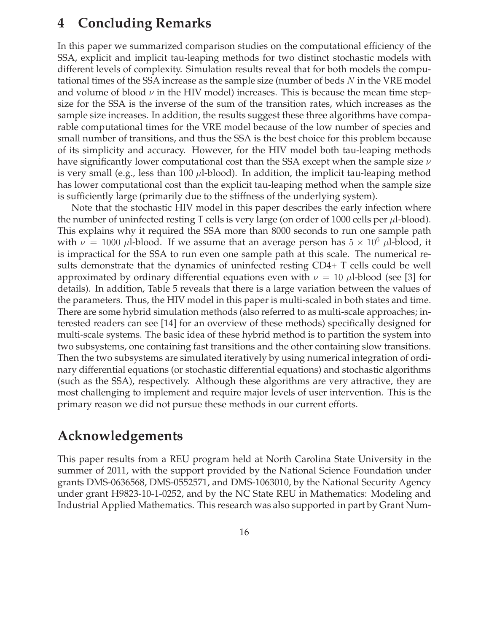# **4 Concluding Remarks**

In this paper we summarized comparison studies on the computational efficiency of the SSA, explicit and implicit tau-leaping methods for two distinct stochastic models with different levels of complexity. Simulation results reveal that for both models the computational times of the SSA increase as the sample size (number of beds  $N$  in the VRE model and volume of blood  $\nu$  in the HIV model) increases. This is because the mean time stepsize for the SSA is the inverse of the sum of the transition rates, which increases as the sample size increases. In addition, the results suggest these three algorithms have comparable computational times for the VRE model because of the low number of species and small number of transitions, and thus the SSA is the best choice for this problem because of its simplicity and accuracy. However, for the HIV model both tau-leaping methods have significantly lower computational cost than the SSA except when the sample size  $\nu$ is very small (e.g., less than 100  $\mu$ l-blood). In addition, the implicit tau-leaping method has lower computational cost than the explicit tau-leaping method when the sample size is sufficiently large (primarily due to the stiffness of the underlying system).

Note that the stochastic HIV model in this paper describes the early infection where the number of uninfected resting T cells is very large (on order of 1000 cells per  $\mu$ l-blood). This explains why it required the SSA more than 8000 seconds to run one sample path with  $\nu = 1000 \mu l$ -blood. If we assume that an average person has  $5 \times 10^6 \mu l$ -blood, it is impractical for the SSA to run even one sample path at this scale. The numerical results demonstrate that the dynamics of uninfected resting CD4+ T cells could be well approximated by ordinary differential equations even with  $\nu = 10 \mu l$ -blood (see [3] for details). In addition, Table 5 reveals that there is a large variation between the values of the parameters. Thus, the HIV model in this paper is multi-scaled in both states and time. There are some hybrid simulation methods (also referred to as multi-scale approaches; interested readers can see [14] for an overview of these methods) specifically designed for multi-scale systems. The basic idea of these hybrid method is to partition the system into two subsystems, one containing fast transitions and the other containing slow transitions. Then the two subsystems are simulated iteratively by using numerical integration of ordinary differential equations (or stochastic differential equations) and stochastic algorithms (such as the SSA), respectively. Although these algorithms are very attractive, they are most challenging to implement and require major levels of user intervention. This is the primary reason we did not pursue these methods in our current efforts.

# **Acknowledgements**

This paper results from a REU program held at North Carolina State University in the summer of 2011, with the support provided by the National Science Foundation under grants DMS-0636568, DMS-0552571, and DMS-1063010, by the National Security Agency under grant H9823-10-1-0252, and by the NC State REU in Mathematics: Modeling and Industrial Applied Mathematics. This research was also supported in part by Grant Num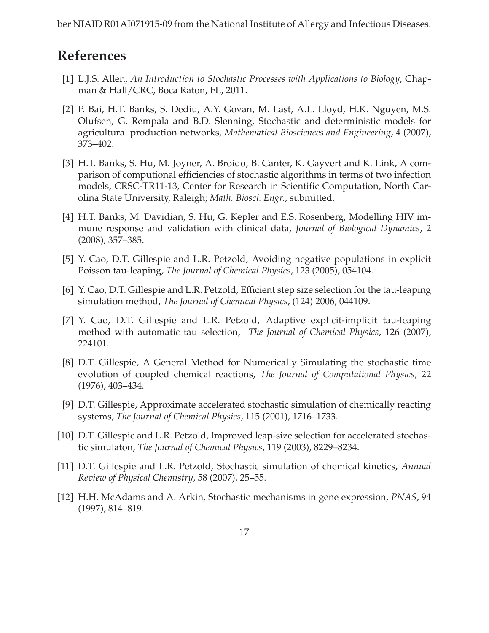ber NIAID R01AI071915-09 from the National Institute of Allergy and Infectious Diseases.

# **References**

- [1] L.J.S. Allen, *An Introduction to Stochastic Processes with Applications to Biology*, Chapman & Hall/CRC, Boca Raton, FL, 2011.
- [2] P. Bai, H.T. Banks, S. Dediu, A.Y. Govan, M. Last, A.L. Lloyd, H.K. Nguyen, M.S. Olufsen, G. Rempala and B.D. Slenning, Stochastic and deterministic models for agricultural production networks, *Mathematical Biosciences and Engineering*, 4 (2007), 373–402.
- [3] H.T. Banks, S. Hu, M. Joyner, A. Broido, B. Canter, K. Gayvert and K. Link, A comparison of computional efficiencies of stochastic algorithms in terms of two infection models, CRSC-TR11-13, Center for Research in Scientific Computation, North Carolina State University, Raleigh; *Math. Biosci. Engr.*, submitted.
- [4] H.T. Banks, M. Davidian, S. Hu, G. Kepler and E.S. Rosenberg, Modelling HIV immune response and validation with clinical data, *Journal of Biological Dynamics*, 2 (2008), 357–385.
- [5] Y. Cao, D.T. Gillespie and L.R. Petzold, Avoiding negative populations in explicit Poisson tau-leaping, *The Journal of Chemical Physics*, 123 (2005), 054104.
- [6] Y. Cao, D.T. Gillespie and L.R. Petzold, Efficient step size selection for the tau-leaping simulation method, *The Journal of Chemical Physics*, (124) 2006, 044109.
- [7] Y. Cao, D.T. Gillespie and L.R. Petzold, Adaptive explicit-implicit tau-leaping method with automatic tau selection, *The Journal of Chemical Physics*, 126 (2007), 224101.
- [8] D.T. Gillespie, A General Method for Numerically Simulating the stochastic time evolution of coupled chemical reactions, *The Journal of Computational Physics*, 22 (1976), 403–434.
- [9] D.T. Gillespie, Approximate accelerated stochastic simulation of chemically reacting systems, *The Journal of Chemical Physics*, 115 (2001), 1716–1733.
- [10] D.T. Gillespie and L.R. Petzold, Improved leap-size selection for accelerated stochastic simulaton, *The Journal of Chemical Physics*, 119 (2003), 8229–8234.
- [11] D.T. Gillespie and L.R. Petzold, Stochastic simulation of chemical kinetics, *Annual Review of Physical Chemistry*, 58 (2007), 25–55.
- [12] H.H. McAdams and A. Arkin, Stochastic mechanisms in gene expression, *PNAS*, 94 (1997), 814–819.